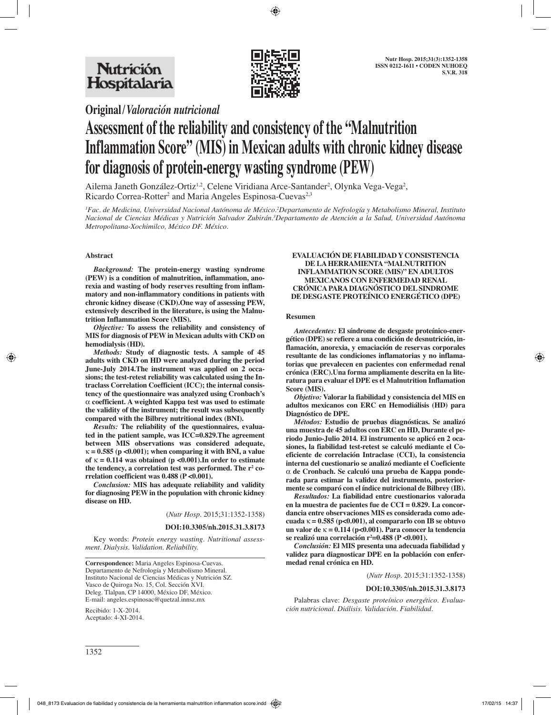

**Original/***Valoración nutricional*

# **Assessment of the reliability and consistency of the "Malnutrition Inflammation Score" (MIS) in Mexican adults with chronic kidney disease for diagnosis of protein-energy wasting syndrome (PEW)**

Ailema Janeth González-Ortiz<sup>1,2</sup>, Celene Viridiana Arce-Santander<sup>2</sup>, Olynka Vega-Vega<sup>2</sup>, Ricardo Correa-Rotter<sup>2</sup> and Maria Angeles Espinosa-Cuevas<sup>2,3</sup>

*1 Fac. de Medicina, Universidad Nacional Autónoma de México.2 Departamento de Nefrología y Metabolismo Mineral, Instituto Nacional de Ciencias Médicas y Nutrición Salvador Zubirán.3 Departamento de Atención a la Salud, Universidad Autónoma Metropolitana-Xochimilco, México DF. México.*

## **Abstract**

*Background:* **The protein-energy wasting syndrome (PEW) is a condition of malnutrition, inflammation, anorexia and wasting of body reserves resulting from inflammatory and non-inflammatory conditions in patients with chronic kidney disease (CKD).One way of assessing PEW, extensively described in the literature, is using the Malnutrition Inflammation Score (MIS).** 

*Objective:* **To assess the reliability and consistency of MIS for diagnosis of PEW in Mexican adults with CKD on hemodialysis (HD).** 

*Methods:* **Study of diagnostic tests. A sample of 45 adults with CKD on HD were analyzed during the period June-July 2014.The instrument was applied on 2 occasions; the test-retest reliability was calculated using the Intraclass Correlation Coefficient (ICC); the internal consistency of the questionnaire was analyzed using Cronbach's**  α **coefficient. A weighted Kappa test was used to estimate the validity of the instrument; the result was subsequently compared with the Bilbrey nutritional index (BNI).**

*Results:* **The reliability of the questionnaires, evaluated in the patient sample, was ICC=0.829.The agreement between MIS observations was considered adequate,**   $\kappa = 0.585$  (p < 0.001); when comparing it with BNI, a value of  $\kappa = 0.114$  was obtained (p <0.001). In order to estimate the tendency, a correlation test was performed. The r<sup>2</sup> co**rrelation coefficient was 0.488 (P <0.001).**

*Conclusion:* **MIS has adequate reliability and validity for diagnosing PEW in the population with chronic kidney disease on HD.**

(*Nutr Hosp.* 2015;31:1352-1358)

#### **DOI:10.3305/nh.2015.31.3.8173**

Key words: *Protein energy wasting. Nutritional assessment. Dialysis. Validation. Reliability.*

**Correspondence:** Maria Angeles Espinosa-Cuevas. Departamento de Nefrología y Metabolismo Mineral. Instituto Nacional de Ciencias Médicas y Nutrición SZ. Vasco de Quiroga No. 15, Col. Sección XVI. Deleg. Tlalpan, CP 14000, México DF, México. E-mail: angeles.espinosac@quetzal.innsz.mx

Recibido: 1-X-2014. Aceptado: 4-XI-2014.

#### **EVALUACIÓN DE FIABILIDAD Y CONSISTENCIA DE LA HERRAMIENTA "MALNUTRITION INFLAMMATION SCORE (MIS)" EN ADULTOS MEXICANOS CON ENFERMEDAD RENAL CRÓNICA PARA DIAGNÓSTICO DEL SINDROME DE DESGASTE PROTEÍNICO ENERGÉTICO (DPE)**

#### **Resumen**

*Antecedentes:* **El síndrome de desgaste proteínico-energético (DPE) se refiere a una condición de desnutrición, inflamación, anorexia, y emaciación de reservas corporales resultante de las condiciones inflamatorias y no inflamatorias que prevalecen en pacientes con enfermedad renal crónica (ERC).Una forma ampliamente descrita en la literatura para evaluar el DPE es el Malnutrition Inflamation Score (MIS).**

*Objetivo:* **Valorar la fiabilidad y consistencia del MIS en adultos mexicanos con ERC en Hemodiálisis (HD) para Diagnóstico de DPE.**

*Métodos:* **Estudio de pruebas diagnósticas. Se analizó una muestra de 45 adultos con ERC en HD, Durante el periodo Junio-Julio 2014. El instrumento se aplicó en 2 ocasiones, la fiabilidad test-retest se calculó mediante el Coeficiente de correlación Intraclase (CCI), la consistencia interna del cuestionario se analizó mediante el Coeficiente**  α **de Cronbach. Se calculó una prueba de Kappa ponderada para estimar la validez del instrumento, posteriormente se comparó con el índice nutricional de Bilbrey (IB).**

*Resultados:* **La fiabilidad entre cuestionarios valorada en la muestra de pacientes fue de CCI = 0.829. La concordancia entre observaciones MIS es considerada como adecuada** k **= 0.585 (p<0.001), al compararlo con IB se obtuvo un valor de** k **= 0.114 (p<0.001). Para conocer la tendencia se realizó una correlación r2 =0.488 (P <0.001).**

*Conclusión:* **El MIS presenta una adecuada fiabilidad y validez para diagnosticar DPE en la población con enfermedad renal crónica en HD.**

#### (*Nutr Hosp.* 2015;31:1352-1358)

#### **DOI:10.3305/nh.2015.31.3.8173**

Palabras clave: *Desgaste proteínico energético. Evaluación nutricional. Diálisis. Validación. Fiabilidad.*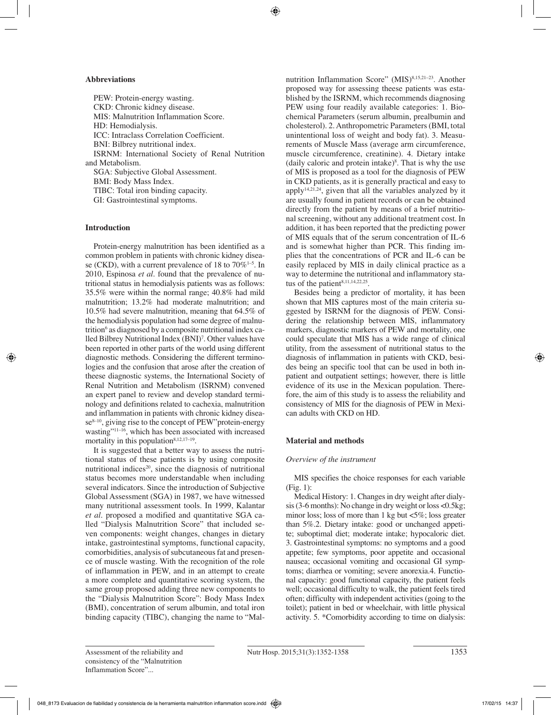### **Abbreviations**

PEW: Protein-energy wasting. CKD: Chronic kidney disease. MIS: Malnutrition Inflammation Score. HD: Hemodialysis. ICC: Intraclass Correlation Coefficient. BNI: Bilbrey nutritional index. ISRNM: International Society of Renal Nutrition and Metabolism. SGA: Subjective Global Assessment. BMI: Body Mass Index. TIBC: Total iron binding capacity. GI: Gastrointestinal symptoms.

# **Introduction**

Protein-energy malnutrition has been identified as a common problem in patients with chronic kidney disease (CKD), with a current prevalence of 18 to  $70\%$ <sup>1-5</sup>. In 2010, Espinosa *et al.* found that the prevalence of nutritional status in hemodialysis patients was as follows: 35.5% were within the normal range; 40.8% had mild malnutrition; 13.2% had moderate malnutrition; and 10.5% had severe malnutrition, meaning that 64.5% of the hemodialysis population had some degree of malnutrition6 as diagnosed by a composite nutritional index called Bilbrey Nutritional Index (BNI)7 . Other values have been reported in other parts of the world using different diagnostic methods. Considering the different terminologies and the confusion that arose after the creation of theese diagnostic systems, the International Society of Renal Nutrition and Metabolism (ISRNM) convened an expert panel to review and develop standard terminology and definitions related to cachexia, malnutrition and inflammation in patients with chronic kidney disease<sup>8-10</sup>, giving rise to the concept of PEW"protein-energy wasting"<sup>11–16</sup>, which has been associated with increased mortality in this population $8,12,17-19$ .

It is suggested that a better way to assess the nutritional status of these patients is by using composite nutritional indices<sup>20</sup>, since the diagnosis of nutritional status becomes more understandable when including several indicators. Since the introduction of Subjective Global Assessment (SGA) in 1987, we have witnessed many nutritional assessment tools. In 1999, Kalantar *et al.* proposed a modified and quantitative SGA called "Dialysis Malnutrition Score" that included seven components: weight changes, changes in dietary intake, gastrointestinal symptoms, functional capacity, comorbidities, analysis of subcutaneous fat and presence of muscle wasting. With the recognition of the role of inflammation in PEW, and in an attempt to create a more complete and quantitative scoring system, the same group proposed adding three new components to the "Dialysis Malnutrition Score": Body Mass Index (BMI), concentration of serum albumin, and total iron binding capacity (TIBC), changing the name to "Malnutrition Inflammation Score" (MIS)<sup>8,15,21-23</sup>. Another proposed way for assessing theese patients was established by the ISRNM, which recommends diagnosing PEW using four readily available categories: 1. Biochemical Parameters (serum albumin, prealbumin and cholesterol). 2. Anthropometric Parameters (BMI, total unintentional loss of weight and body fat). 3. Measurements of Muscle Mass (average arm circumference, muscle circumference, creatinine). 4. Dietary intake (daily caloric and protein intake)8 . That is why the use of MIS is proposed as a tool for the diagnosis of PEW in CKD patients, as it is generally practical and easy to apply<sup>14,21,24</sup>, given that all the variables analyzed by it are usually found in patient records or can be obtained directly from the patient by means of a brief nutritional screening, without any additional treatment cost. In addition, it has been reported that the predicting power of MIS equals that of the serum concentration of IL-6 and is somewhat higher than PCR. This finding implies that the concentrations of PCR and IL-6 can be easily replaced by MIS in daily clinical practice as a way to determine the nutritional and inflammatory status of the patient<sup>8,11,14,22,25</sup>.

Besides being a predictor of mortality, it has been shown that MIS captures most of the main criteria suggested by ISRNM for the diagnosis of PEW. Considering the relationship between MIS, inflammatory markers, diagnostic markers of PEW and mortality, one could speculate that MIS has a wide range of clinical utility, from the assessment of nutritional status to the diagnosis of inflammation in patients with CKD, besides being an specific tool that can be used in both inpatient and outpatient settings; however, there is little evidence of its use in the Mexican population. Therefore, the aim of this study is to assess the reliability and consistency of MIS for the diagnosis of PEW in Mexican adults with CKD on HD.

# **Material and methods**

## *Overview of the instrument*

MIS specifies the choice responses for each variable (Fig. 1):

Medical History: 1. Changes in dry weight after dialysis (3-6 months): No change in dry weight or loss <0.5kg; minor loss; loss of more than 1 kg but  $\langle 5\%$ ; loss greater than 5%.2. Dietary intake: good or unchanged appetite; suboptimal diet; moderate intake; hypocaloric diet. 3. Gastrointestinal symptoms: no symptoms and a good appetite; few symptoms, poor appetite and occasional nausea; occasional vomiting and occasional GI symptoms; diarrhea or vomiting; severe anorexia.4. Functional capacity: good functional capacity, the patient feels well; occasional difficulty to walk, the patient feels tired often; difficulty with independent activities (going to the toilet); patient in bed or wheelchair, with little physical activity. 5. \*Comorbidity according to time on dialysis: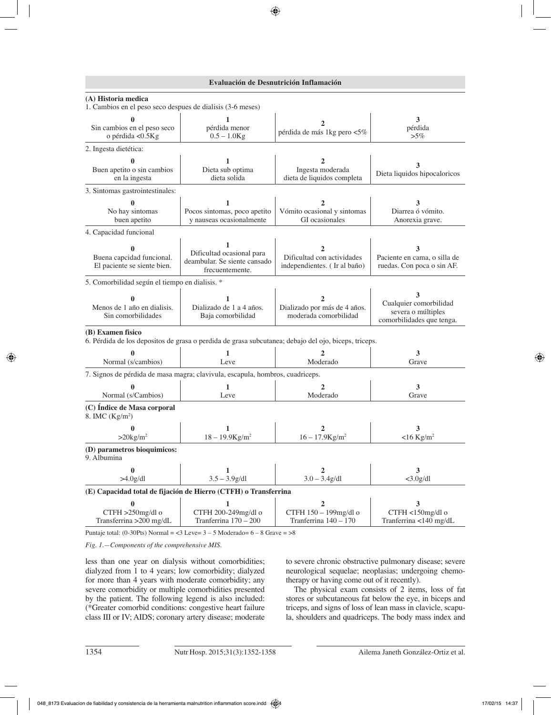## **Evaluación de Desnutrición Inflamación**

| (A) Historia medica<br>1. Cambios en el peso seco despues de dialisis (3-6 meses) |                                                                                   |                                                                                                      |                                                                                |
|-----------------------------------------------------------------------------------|-----------------------------------------------------------------------------------|------------------------------------------------------------------------------------------------------|--------------------------------------------------------------------------------|
| Sin cambios en el peso seco<br>o pérdida <0.5Kg                                   | pérdida menor<br>$0.5 - 1.0$ Kg                                                   | 2<br>pérdida de más 1kg pero <5%                                                                     | 3<br>pérdida<br>$>5\%$                                                         |
| 2. Ingesta dietética:                                                             |                                                                                   |                                                                                                      |                                                                                |
| Buen apetito o sin cambios<br>en la ingesta                                       | Dieta sub optima<br>dieta solida                                                  | Ingesta moderada<br>dieta de liquidos completa                                                       | Dieta liquidos hipocaloricos                                                   |
| 3. Sintomas gastrointestinales:                                                   |                                                                                   |                                                                                                      |                                                                                |
| $\mathbf{0}$<br>No hay sintomas<br>buen apetito                                   | 1<br>Pocos sintomas, poco apetito<br>y nauseas ocasionalmente                     | 2<br>Vómito ocasional y sintomas<br>GI ocasionales                                                   | 3<br>Diarrea ó vómito.<br>Anorexia grave.                                      |
| 4. Capacidad funcional                                                            |                                                                                   |                                                                                                      |                                                                                |
| Buena capcidad funcional.<br>El paciente se siente bien.                          | 1<br>Dificultad ocasional para<br>deambular. Se siente cansado<br>frecuentemente. | 2<br>Dificultad con actividades<br>independientes. (Ir al baño)                                      | 3<br>Paciente en cama, o silla de<br>ruedas. Con poca o sin AF.                |
| 5. Comorbilidad según el tiempo en dialisis. *                                    |                                                                                   |                                                                                                      |                                                                                |
| Menos de 1 año en dialisis.<br>Sin comorbilidades                                 | Dializado de 1 a 4 años.<br>Baja comorbilidad                                     | Dializado por más de 4 años.<br>moderada comorbilidad                                                | 3<br>Cualquier comorbilidad<br>severa o múltiples<br>comorbilidades que tenga. |
| (B) Examen fisico                                                                 |                                                                                   | 6. Pérdida de los depositos de grasa o perdida de grasa subcutanea; debajo del ojo, biceps, triceps. |                                                                                |
| Normal (s/cambios)                                                                | 1<br>Leve                                                                         | $\mathbf{2}$<br>Moderado                                                                             | 3<br>Grave                                                                     |
|                                                                                   | 7. Signos de pérdida de masa magra; clavivula, escapula, hombros, cuadriceps.     |                                                                                                      |                                                                                |
| Normal (s/Cambios)                                                                | 1<br>Leve                                                                         | $\mathbf{2}$<br>Moderado                                                                             | 3<br>Grave                                                                     |
| (C) Índice de Masa corporal<br>8. IMC $(Kg/m2)$                                   |                                                                                   |                                                                                                      |                                                                                |
| 0<br>$>20$ kg/m <sup>2</sup>                                                      | 1<br>$18 - 19.9$ Kg/m <sup>2</sup>                                                | 2<br>$16 - 17.9$ Kg/m <sup>2</sup>                                                                   | 3<br>$<$ 16 Kg/m <sup>2</sup>                                                  |
| (D) parametros bioquimicos:<br>9. Albumina                                        |                                                                                   |                                                                                                      |                                                                                |
| $\bf{0}$<br>$>4.0$ g/dl                                                           | 1<br>$3.5 - 3.9g/dl$                                                              | 2<br>$3.0 - 3.4g/dl$                                                                                 | 3<br>$<$ 3.0g/dl                                                               |
| (E) Capacidad total de fijación de Hierro (CTFH) o Transferrina                   |                                                                                   |                                                                                                      |                                                                                |
| CTFH >250mg/dl o<br>Transferrina > 200 mg/dL                                      | CTFH 200-249mg/dl o<br>Tranferrina 170 - 200                                      | CTFH 150 - 199mg/dl o<br>Tranferrina 140 - 170                                                       | CTFH <150mg/dl o<br>Tranferrina <140 mg/dL                                     |

Puntaje total: (0-30Pts) Normal =  $<$ 3 Leve= 3 – 5 Moderado= 6 – 8 Grave = >8

*Fig. 1.—Components of the comprehensive MIS.*

less than one year on dialysis without comorbidities; dialyzed from 1 to 4 years; low comorbidity; dialyzed for more than 4 years with moderate comorbidity; any severe comorbidity or multiple comorbidities presented by the patient. The following legend is also included: (\*Greater comorbid conditions: congestive heart failure class III or IV; AIDS; coronary artery disease; moderate to severe chronic obstructive pulmonary disease; severe neurological sequelae; neoplasias; undergoing chemotherapy or having come out of it recently).

The physical exam consists of 2 items, loss of fat stores or subcutaneous fat below the eye, in biceps and triceps, and signs of loss of lean mass in clavicle, scapula, shoulders and quadriceps. The body mass index and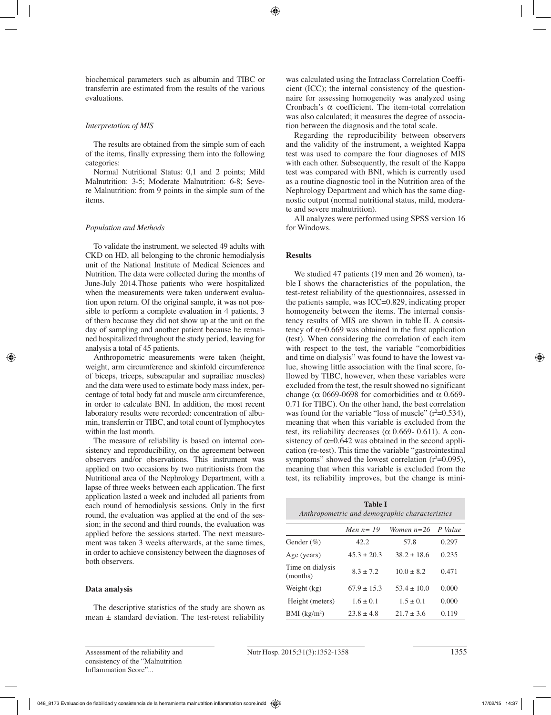biochemical parameters such as albumin and TIBC or transferrin are estimated from the results of the various evaluations.

## *Interpretation of MIS*

The results are obtained from the simple sum of each of the items, finally expressing them into the following categories:

Normal Nutritional Status: 0,1 and 2 points; Mild Malnutrition: 3-5; Moderate Malnutrition: 6-8; Severe Malnutrition: from 9 points in the simple sum of the items.

# *Population and Methods*

To validate the instrument, we selected 49 adults with CKD on HD, all belonging to the chronic hemodialysis unit of the National Institute of Medical Sciences and Nutrition. The data were collected during the months of June-July 2014.Those patients who were hospitalized when the measurements were taken underwent evaluation upon return. Of the original sample, it was not possible to perform a complete evaluation in 4 patients, 3 of them because they did not show up at the unit on the day of sampling and another patient because he remained hospitalized throughout the study period, leaving for analysis a total of 45 patients.

Anthropometric measurements were taken (height, weight, arm circumference and skinfold circumference of biceps, triceps, subscapular and suprailiac muscles) and the data were used to estimate body mass index, percentage of total body fat and muscle arm circumference, in order to calculate BNI. In addition, the most recent laboratory results were recorded: concentration of albumin, transferrin or TIBC, and total count of lymphocytes within the last month.

The measure of reliability is based on internal consistency and reproducibility, on the agreement between observers and/or observations. This instrument was applied on two occasions by two nutritionists from the Nutritional area of the Nephrology Department, with a lapse of three weeks between each application. The first application lasted a week and included all patients from each round of hemodialysis sessions. Only in the first round, the evaluation was applied at the end of the session; in the second and third rounds, the evaluation was applied before the sessions started. The next measurement was taken 3 weeks afterwards, at the same times, in order to achieve consistency between the diagnoses of both observers.

# **Data analysis**

The descriptive statistics of the study are shown as mean  $\pm$  standard deviation. The test-retest reliability was calculated using the Intraclass Correlation Coefficient (ICC); the internal consistency of the questionnaire for assessing homogeneity was analyzed using Cronbach's α coefficient. The item-total correlation was also calculated; it measures the degree of association between the diagnosis and the total scale.

Regarding the reproducibility between observers and the validity of the instrument, a weighted Kappa test was used to compare the four diagnoses of MIS with each other. Subsequently, the result of the Kappa test was compared with BNI, which is currently used as a routine diagnostic tool in the Nutrition area of the Nephrology Department and which has the same diagnostic output (normal nutritional status, mild, moderate and severe malnutrition).

All analyzes were performed using SPSS version 16 for Windows.

# **Results**

We studied 47 patients (19 men and 26 women), table I shows the characteristics of the population, the test-retest reliability of the questionnaires, assessed in the patients sample, was ICC=0.829, indicating proper homogeneity between the items. The internal consistency results of MIS are shown in table II. A consistency of  $α=0.669$  was obtained in the first application (test). When considering the correlation of each item with respect to the test, the variable "comorbidities and time on dialysis" was found to have the lowest value, showing little association with the final score, followed by TIBC, however, when these variables were excluded from the test, the result showed no significant change ( $\alpha$  0669-0698 for comorbidities and  $\alpha$  0.669-0.71 for TIBC). On the other hand, the best correlation was found for the variable "loss of muscle"  $(r^2=0.534)$ , meaning that when this variable is excluded from the test, its reliability decreases ( $\alpha$  0.669- 0.611). A consistency of  $\alpha$ =0.642 was obtained in the second application (re-test). This time the variable "gastrointestinal symptoms" showed the lowest correlation  $(r^2=0.095)$ , meaning that when this variable is excluded from the test, its reliability improves, but the change is mini-

| <b>Table I</b><br>Anthropometric and demographic characteristics |                |                 |       |  |  |
|------------------------------------------------------------------|----------------|-----------------|-------|--|--|
| Women $n=26$<br>Men $n=19$<br>P Value                            |                |                 |       |  |  |
| Gender $(\%)$                                                    | 42.2           | 57.8            | 0.297 |  |  |
| Age (years)                                                      | $45.3 + 20.3$  | $38.2 \pm 18.6$ | 0.235 |  |  |
| Time on dialysis<br>(months)                                     | $8.3 \pm 7.2$  | $10.0 + 8.2$    | 0.471 |  |  |
| Weight (kg)                                                      | $67.9 + 15.3$  | $53.4 \pm 10.0$ | 0.000 |  |  |
| Height (meters)                                                  | $1.6 \pm 0.1$  | $1.5 + 0.1$     | 0.000 |  |  |
| $BMI$ (kg/m <sup>2</sup> )                                       | $23.8 \pm 4.8$ | $21.7 \pm 3.6$  | 0.119 |  |  |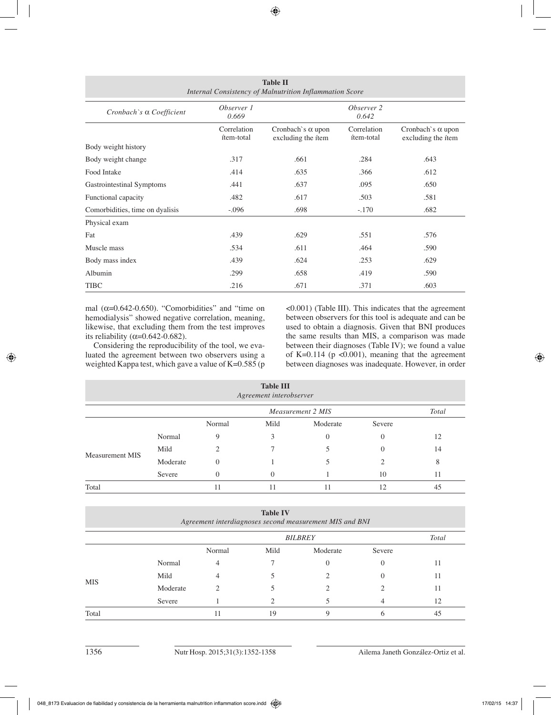| <b>Table II</b><br>Internal Consistency of Malnutrition Inflammation Score |                           |                                                       |                           |                                                       |
|----------------------------------------------------------------------------|---------------------------|-------------------------------------------------------|---------------------------|-------------------------------------------------------|
| Cronbach's $\alpha$ Coefficient                                            | Observer 1<br>0.669       |                                                       | Observer 2<br>0.642       |                                                       |
|                                                                            | Correlation<br>ítem-total | Cronbach's $\alpha$ upon<br>excluding the <i>item</i> | Correlation<br>ítem-total | Cronbach's $\alpha$ upon<br>excluding the <i>item</i> |
| Body weight history                                                        |                           |                                                       |                           |                                                       |
| Body weight change                                                         | .317                      | .661                                                  | .284                      | .643                                                  |
| Food Intake                                                                | .414                      | .635                                                  | .366                      | .612                                                  |
| Gastrointestinal Symptoms                                                  | .441                      | .637                                                  | .095                      | .650                                                  |
| Functional capacity                                                        | .482                      | .617                                                  | .503                      | .581                                                  |
| Comorbidities, time on dyalisis                                            | $-.096$                   | .698                                                  | $-.170$                   | .682                                                  |
| Physical exam                                                              |                           |                                                       |                           |                                                       |
| Fat                                                                        | .439                      | .629                                                  | .551                      | .576                                                  |
| Muscle mass                                                                | .534                      | .611                                                  | .464                      | .590                                                  |
| Body mass index                                                            | .439                      | .624                                                  | .253                      | .629                                                  |
| Albumin                                                                    | .299                      | .658                                                  | .419                      | .590                                                  |
| <b>TIBC</b>                                                                | .216                      | .671                                                  | .371                      | .603                                                  |

mal  $(\alpha=0.642-0.650)$ . "Comorbidities" and "time on hemodialysis" showed negative correlation, meaning, likewise, that excluding them from the test improves its reliability ( $\alpha$ =0.642-0.682).

Considering the reproducibility of the tool, we evaluated the agreement between two observers using a weighted Kappa test, which gave a value of  $K=0.585$  (p <0.001) (Table III). This indicates that the agreement between observers for this tool is adequate and can be used to obtain a diagnosis. Given that BNI produces the same results than MIS, a comparison was made between their diagnoses (Table IV); we found a value of K=0.114 ( $p$  <0.001), meaning that the agreement between diagnoses was inadequate. However, in order

|                        |          |                                   | <b>Table III</b><br>Agreement interobserver |                |              |    |
|------------------------|----------|-----------------------------------|---------------------------------------------|----------------|--------------|----|
|                        |          | <b>Total</b><br>Measurement 2 MIS |                                             |                |              |    |
|                        |          | Normal                            | Mild                                        | Moderate       | Severe       |    |
| <b>Measurement MIS</b> | Normal   | 9                                 | 3                                           | $\overline{0}$ | $\mathbf{0}$ | 12 |
|                        | Mild     | 2                                 |                                             |                | 0            | 14 |
|                        | Moderate | $\Omega$                          |                                             |                |              | 8  |
|                        | Severe   | $\Omega$                          | $\Omega$                                    |                | 10           | 11 |
| Total                  |          | -1                                |                                             | 11             | 12           | 45 |

|                        |                | <b>Table IV</b> |               |        |                                                         |
|------------------------|----------------|-----------------|---------------|--------|---------------------------------------------------------|
|                        | <b>BILBREY</b> |                 |               |        | <b>Total</b>                                            |
|                        | Normal         | Mild            | Moderate      | Severe |                                                         |
| Normal                 | 4              |                 | $\mathcal{O}$ | 0      | 11                                                      |
| Mild                   |                |                 |               |        | 11                                                      |
| <b>MIS</b><br>Moderate |                |                 |               |        | 11                                                      |
| Severe                 |                | ↑               |               |        | 12                                                      |
|                        |                | 19              | Q             | n      | 45                                                      |
|                        |                |                 |               |        | Agreement interdiagnoses second measurement MIS and BNI |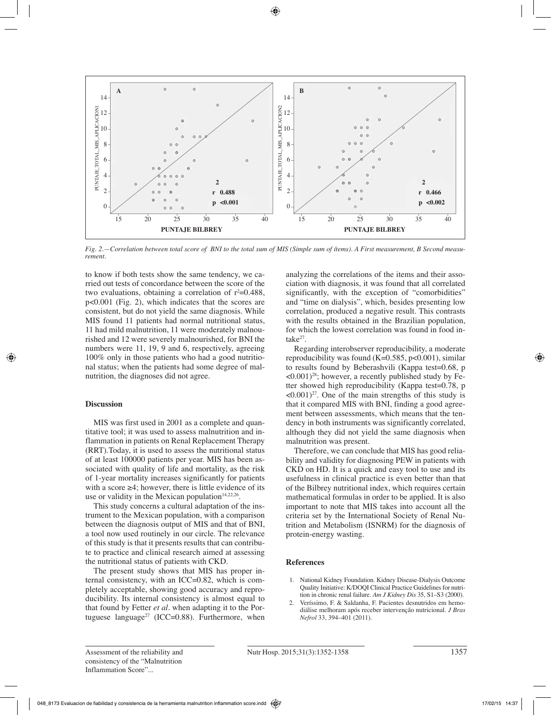

*Fig. 2.—Correlation between total score of BNI to the total sum of MIS (Simple sum of ítems). A First measurement, B Second measurement.* 

to know if both tests show the same tendency, we carried out tests of concordance between the score of the two evaluations, obtaining a correlation of  $r^2=0.488$ , p<0.001 (Fig. 2), which indicates that the scores are consistent, but do not yield the same diagnosis. While MIS found 11 patients had normal nutritional status, 11 had mild malnutrition, 11 were moderately malnourished and 12 were severely malnourished, for BNI the numbers were 11, 19, 9 and 6, respectively, agreeing 100% only in those patients who had a good nutritional status; when the patients had some degree of malnutrition, the diagnoses did not agree.

## **Discussion**

MIS was first used in 2001 as a complete and quantitative tool; it was used to assess malnutrition and inflammation in patients on Renal Replacement Therapy (RRT).Today, it is used to assess the nutritional status of at least 100000 patients per year. MIS has been associated with quality of life and mortality, as the risk of 1-year mortality increases significantly for patients with a score  $\geq 4$ ; however, there is little evidence of its use or validity in the Mexican population $14,22,26$ .

This study concerns a cultural adaptation of the instrument to the Mexican population, with a comparison between the diagnosis output of MIS and that of BNI, a tool now used routinely in our circle. The relevance of this study is that it presents results that can contribute to practice and clinical research aimed at assessing the nutritional status of patients with CKD.

The present study shows that MIS has proper internal consistency, with an ICC=0.82, which is completely acceptable, showing good accuracy and reproducibility. Its internal consistency is almost equal to that found by Fetter *et al.* when adapting it to the Portuguese language<sup>27</sup> (ICC=0.88). Furthermore, when analyzing the correlations of the items and their association with diagnosis, it was found that all correlated significantly, with the exception of "comorbidities" and "time on dialysis", which, besides presenting low correlation, produced a negative result. This contrasts with the results obtained in the Brazilian population, for which the lowest correlation was found in food intake<sup>27</sup>.

Regarding interobserver reproducibility, a moderate reproducibility was found  $(K=0.585, p<0.001)$ , similar to results found by Beberashvili (Kappa test=0.68, p  $\langle 0.001 \rangle^{28}$ ; however, a recently published study by Fetter showed high reproducibility (Kappa test=0.78, p  $\langle 0.001 \rangle^{27}$ . One of the main strengths of this study is that it compared MIS with BNI, finding a good agreement between assessments, which means that the tendency in both instruments was significantly correlated, although they did not yield the same diagnosis when malnutrition was present.

Therefore, we can conclude that MIS has good reliability and validity for diagnosing PEW in patients with CKD on HD. It is a quick and easy tool to use and its usefulness in clinical practice is even better than that of the Bilbrey nutritional index, which requires certain mathematical formulas in order to be applied. It is also important to note that MIS takes into account all the criteria set by the International Society of Renal Nutrition and Metabolism (ISNRM) for the diagnosis of protein-energy wasting.

# **References**

- 1. National Kidney Foundation. Kidney Disease-Dialysis Outcome Quality Initiative: K/DOQI Clinical Practice Guidelines for nutrition in chronic renal failure. *Am J Kidney Dis* 35, S1–S3 (2000).
- 2. Veríssimo, F. & Saldanha, F. Pacientes desnutridos em hemodiálise melhoram após receber intervenção nutricional. *J Bras Nefrol* 33, 394–401 (2011).